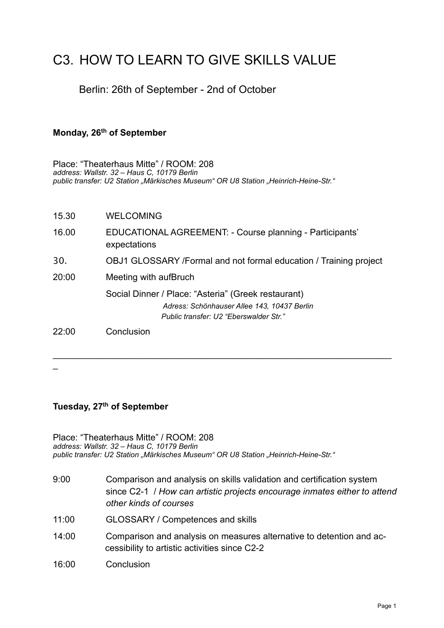# C3. HOW TO LEARN TO GIVE SKILLS VALUE

# Berlin: 26th of September - 2nd of October

#### **Monday, 26th of September**

Place: "Theaterhaus Mitte" / ROOM: 208 *address: Wallstr. 32 – Haus C, 10179 Berlin* public transfer: U2 Station "Märkisches Museum" OR U8 Station "Heinrich-Heine-Str."

| 15.30 | <b>WELCOMING</b>                                                                                                                             |
|-------|----------------------------------------------------------------------------------------------------------------------------------------------|
| 16.00 | EDUCATIONAL AGREEMENT: - Course planning - Participants'<br>expectations                                                                     |
| 30.   | OBJ1 GLOSSARY /Formal and not formal education / Training project                                                                            |
| 20:00 | Meeting with aufBruch                                                                                                                        |
|       | Social Dinner / Place: "Asteria" (Greek restaurant)<br>Adress: Schönhauser Allee 143, 10437 Berlin<br>Public transfer: U2 "Eberswalder Str." |
| 22:00 | Conclusion                                                                                                                                   |

 $\mathcal{L}_\text{max}$  and  $\mathcal{L}_\text{max}$  and  $\mathcal{L}_\text{max}$  and  $\mathcal{L}_\text{max}$  and  $\mathcal{L}_\text{max}$  and  $\mathcal{L}_\text{max}$ 

 $\overline{a}$ 

#### **Tuesday, 27th of September**

Place: "Theaterhaus Mitte" / ROOM: 208 *address: Wallstr. 32 – Haus C, 10179 Berlin* public transfer: U2 Station "Märkisches Museum" OR U8 Station "Heinrich-Heine-Str."

- 9:00 Comparison and analysis on skills validation and certification system since C2-1 / *How can artistic projects encourage inmates either to attend other kinds of courses*
- 11:00 GLOSSARY / Competences and skills
- 14:00 Comparison and analysis on measures alternative to detention and accessibility to artistic activities since C2-2
- 16:00 Conclusion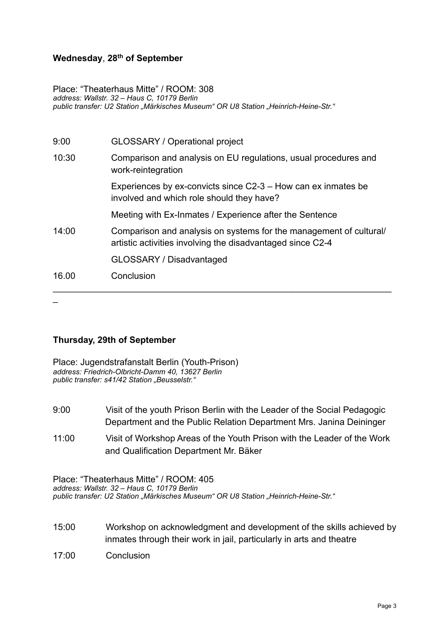#### **Wednesday**, **28th of September**

Place: "Theaterhaus Mitte" / ROOM: 308 *address: Wallstr. 32 – Haus C, 10179 Berlin* public transfer: U2 Station "Märkisches Museum" OR U8 Station "Heinrich-Heine-Str."

| 9:00  | <b>GLOSSARY / Operational project</b>                                                                                            |
|-------|----------------------------------------------------------------------------------------------------------------------------------|
| 10:30 | Comparison and analysis on EU regulations, usual procedures and<br>work-reintegration                                            |
|       | Experiences by ex-convicts since C2-3 – How can ex inmates be<br>involved and which role should they have?                       |
|       | Meeting with Ex-Inmates / Experience after the Sentence                                                                          |
| 14:00 | Comparison and analysis on systems for the management of cultural/<br>artistic activities involving the disadvantaged since C2-4 |
|       | GLOSSARY / Disadvantaged                                                                                                         |
| 16.00 | Conclusion                                                                                                                       |
|       |                                                                                                                                  |

#### **Thursday, 29th of September**

| Place: Jugendstrafanstalt Berlin (Youth-Prison)   |
|---------------------------------------------------|
| address: Friedrich-Olbricht-Damm 40, 13627 Berlin |
| public transfer: s41/42 Station "Beusselstr."     |

| 9:00 | Visit of the youth Prison Berlin with the Leader of the Social Pedagogic |
|------|--------------------------------------------------------------------------|
|      | Department and the Public Relation Department Mrs. Janina Deininger      |

11:00 Visit of Workshop Areas of the Youth Prison with the Leader of the Work and Qualification Department Mr. Bäker

Place: "Theaterhaus Mitte" / ROOM: 405 *address: Wallstr. 32 – Haus C, 10179 Berlin* public transfer: U2 Station "Märkisches Museum" OR U8 Station "Heinrich-Heine-Str."

- 15:00 Workshop on acknowledgment and development of the skills achieved by inmates through their work in jail, particularly in arts and theatre
- 17:00 Conclusion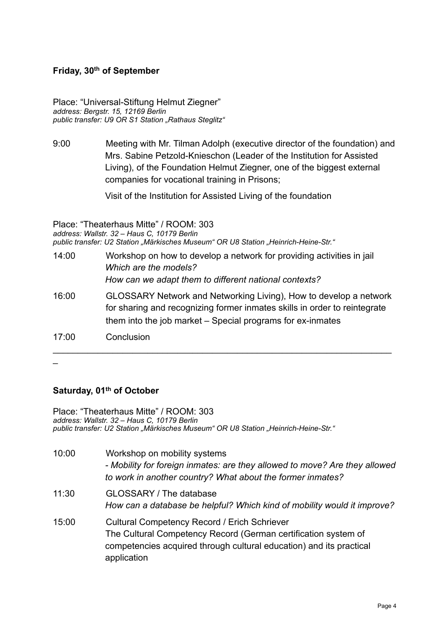#### **Friday, 30th of September**

Place: "Universal-Stiftung Helmut Ziegner" *address: Bergstr. 15, 12169 Berlin public transfer: U9 OR S1 Station "Rathaus Steglitz"*

9:00 Meeting with Mr. Tilman Adolph (executive director of the foundation) and Mrs. Sabine Petzold-Knieschon (Leader of the Institution for Assisted Living), of the Foundation Helmut Ziegner, one of the biggest external companies for vocational training in Prisons;

Visit of the Institution for Assisted Living of the foundation

Place: "Theaterhaus Mitte" / ROOM: 303 *address: Wallstr. 32 – Haus C, 10179 Berlin* public transfer: U2 Station "Märkisches Museum" OR U8 Station "Heinrich-Heine-Str."

- 14:00 Workshop on how to develop a network for providing activities in jail *Which are the models? How can we adapt them to different national contexts?*
- 16:00 GLOSSARY Network and Networking Living), How to develop a network for sharing and recognizing former inmates skills in order to reintegrate them into the job market – Special programs for ex-inmates

\_\_\_\_\_\_\_\_\_\_\_\_\_\_\_\_\_\_\_\_\_\_\_\_\_\_\_\_\_\_\_\_\_\_\_\_\_\_\_\_\_\_\_\_\_\_\_\_\_\_\_\_\_\_\_\_\_\_\_\_\_\_\_\_\_\_\_\_

17:00 Conclusion

 $\overline{a}$ 

## **Saturday, 01th of October**

Place: "Theaterhaus Mitte" / ROOM: 303 *address: Wallstr. 32 – Haus C, 10179 Berlin* public transfer: U2 Station "Märkisches Museum" OR U8 Station "Heinrich-Heine-Str."

10:00 Workshop on mobility systems *- Mobility for foreign inmates: are they allowed to move? Are they allowed to work in another country? What about the former inmates?* 11:30 GLOSSARY / The database *How can a database be helpful? Which kind of mobility would it improve?* 15:00 Cultural Competency Record / Erich Schriever The Cultural Competency Record (German certification system of competencies acquired through cultural education) and its practical application